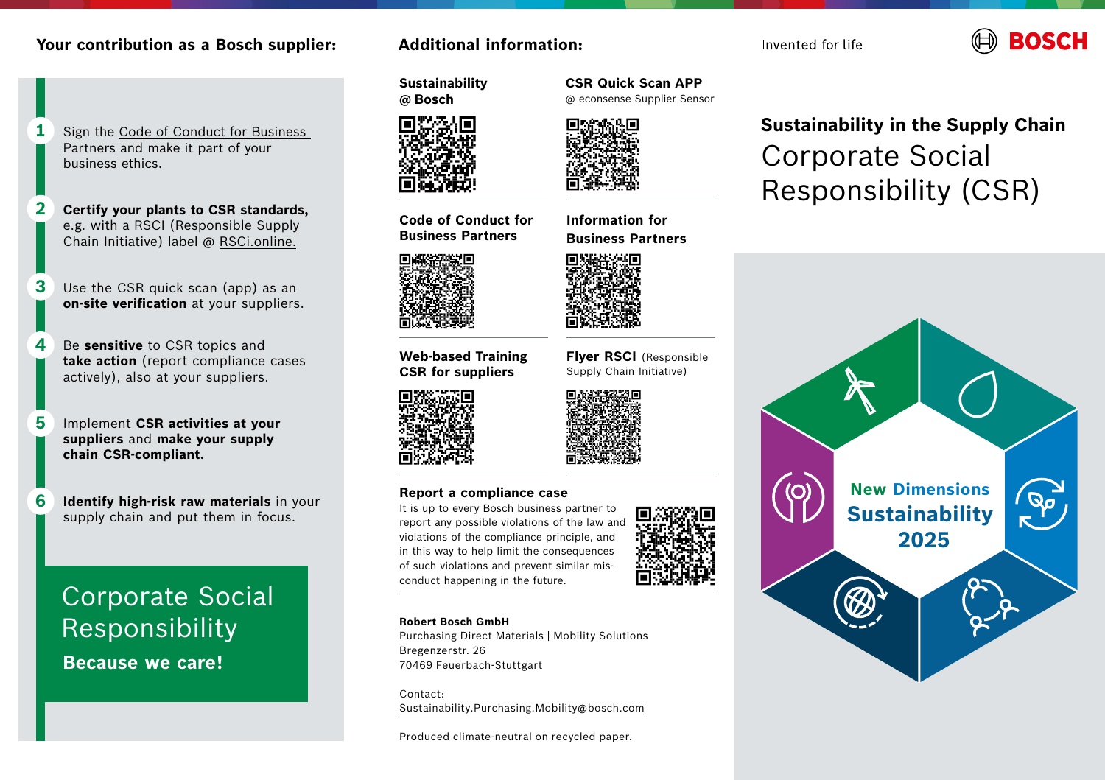## **Your contribution as a Bosch supplier:**

- Sign the [Code of Conduct for Business](https://assets.bosch.com/media/en/global/sustainability/reporting_and_data/basic-principles-of-social-responsibilities.pdf)  [Partners](https://assets.bosch.com/media/en/global/sustainability/reporting_and_data/basic-principles-of-social-responsibilities.pdf) and make it part of your business ethics. **1**
- **Certify your plants to CSR standards,** e.g. with a RSCI (Responsible Supply Chain Initiative) label @ [RSCi.online](https://www.rsci.online/en). **2**
- Use the [CSR quick scan \(app\)](https://econsense.de/aktuelles/econsense-supplier-sensor-nachhaltigkeitsaspekte-einfach-per-app-erfassen/) as an **on-site verification** at your suppliers. **3**
- Be **sensitive** to CSR topics and **take action** [\(report compliance cases](https://www.bkms-system.net/bkwebanon/report/clientInfo?cin=18RB2&c=-1&language=eng) actively), also at your suppliers. **4**
- Implement **CSR activities at your suppliers** and **make your supply chain CSR-compliant. 5**
- **Identify high-risk raw materials** in your supply chain and put them in focus. **6**

# Corporate Social Responsibility

 **Because we care!**

## **Additional information:**

**Sustainability @ Bosch**

**Code of Conduct for Business Partners**

**Web-based Training CSR for suppliers**

**CSR Quick Scan APP**  @ econsense Supplier Sensor



**Information for Business Partners**



**Flyer RSCI** (Responsible Supply Chain Initiative)



## **Report a compliance case**

It is up to every Bosch business partner to report any possible violations of the law and violations of the compliance principle, and in this way to help limit the consequences of such violations and prevent similar misconduct happening in the future.

#### **Robert Bosch GmbH**

Purchasing Direct Materials | Mobility Solutions Bregenzerstr. 26 70469 Feuerbach-Stuttgart

Contact: [Sustainability.Purchasing.Mobility@bosch.com](http://Sustainability.Purchasing.Mobility@bosch.com)

Produced climate-neutral on recycled paper.

## **Sustainability in the Supply Chain** Corporate Social Responsibility (CSR)



Invented for life

**ROSCH**